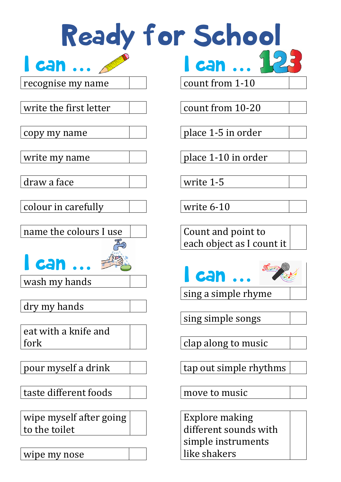Ready for School

I can **…** recognise my name

write the first letter

count from 1-10

I can **…**

count from 10-20

place 1-5 in order

place 1-10 in order

write 1-5

write 6-10

Count and point to each object as I count it



sing a simple rhyme

sing simple songs

clap along to music

tap out simple rhythms

move to music

Explore making different sounds with simple instruments like shakers

copy my name

write my name

draw a face

colour in carefully

name the colours I use

I can **…**

wash my hands

dry my hands

eat with a knife and fork

pour myself a drink

taste different foods

wipe myself after going to the toilet

wipe my nose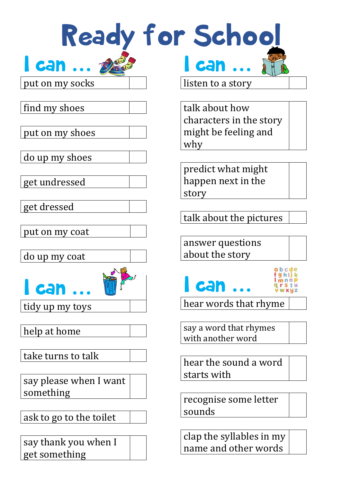| Ready for School                      |                                                                          |
|---------------------------------------|--------------------------------------------------------------------------|
| can  1                                | <b>l can </b>                                                            |
| put on my socks                       | listen to a story                                                        |
| find my shoes<br>put on my shoes      | talk about how<br>characters in the story<br>might be feeling and<br>why |
| do up my shoes                        |                                                                          |
| get undressed                         | predict what might<br>happen next in the<br>story                        |
| get dressed                           |                                                                          |
|                                       | talk about the pictures                                                  |
| put on my coat<br>do up my coat       | answer questions<br>about the story                                      |
| 955<br>can                            | abcde<br><b>can </b>                                                     |
| tidy up my toys                       | hear words that rhyme                                                    |
| help at home                          | say a word that rhymes<br>with another word                              |
| take turns to talk                    | hear the sound a word                                                    |
| say please when I want<br>something   | starts with                                                              |
| ask to go to the toilet               | recognise some letter<br>sounds                                          |
| say thank you when I<br>get something | clap the syllables in my<br>name and other words                         |